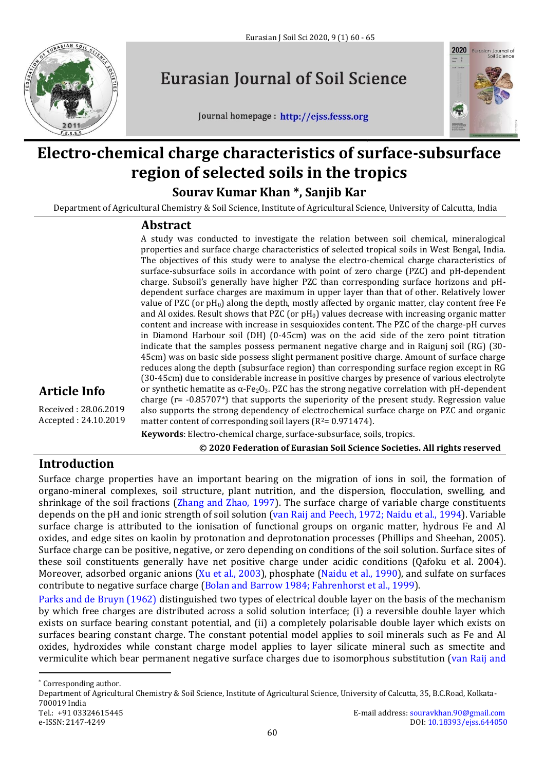

# **Eurasian Journal of Soil Science**

Journal homepage : http://ejss.fesss.org



# **Electro-chemical charge characteristics of surface-subsurface region of selected soils in the tropics**

**Sourav Kumar Khan \*, Sanjib Kar**

Department of Agricultural Chemistry & Soil Science, Institute of Agricultural Science, University of Calcutta, India

## **Abstract**

A study was conducted to investigate the relation between soil chemical, mineralogical properties and surface charge characteristics of selected tropical soils in West Bengal, India. The objectives of this study were to analyse the electro-chemical charge characteristics of surface-subsurface soils in accordance with point of zero charge (PZC) and pH-dependent charge. Subsoil's generally have higher PZC than corresponding surface horizons and pHdependent surface charges are maximum in upper layer than that of other. Relatively lower value of PZC (or  $pH_0$ ) along the depth, mostly affected by organic matter, clay content free Fe and Al oxides. Result shows that PZC (or  $pH<sub>0</sub>$ ) values decrease with increasing organic matter content and increase with increase in sesquioxides content. The PZC of the charge-pH curves in Diamond Harbour soil (DH) (0-45cm) was on the acid side of the zero point titration indicate that the samples possess permanent negative charge and in Raigunj soil (RG) (30- 45cm) was on basic side possess slight permanent positive charge. Amount of surface charge reduces along the depth (subsurface region) than corresponding surface region except in RG (30-45cm) due to considerable increase in positive charges by presence of various electrolyte or synthetic hematite as  $\alpha$ -Fe<sub>2</sub>O<sub>3</sub>. PZC has the strong negative correlation with pH-dependent charge (r= -0.85707\*) that supports the superiority of the present study. Regression value also supports the strong dependency of electrochemical surface charge on PZC and organic matter content of corresponding soil layers  $(R^2= 0.971474)$ .

**Article Info** 

Received : 28.06.2019 Accepted : 24.10.2019

**Keywords**: Electro-chemical charge, surface-subsurface, soils, tropics.

**© 2020 Federation of Eurasian Soil Science Societies. All rights reserved**

# **Introduction**

Surface charge properties have an important bearing on the migration of ions in soil, the formation of organo-mineral complexes, soil structure, plant nutrition, and the dispersion, flocculation, swelling, and shrinkage of the soil fractions (Zhang and Zhao, 1997). The surface charge of variable charge constituents depends on the pH and ionic strength of soil solution (van Raij and Peech, 1972; Naidu et al., 1994). Variable surface charge is attributed to the ionisation of functional groups on organic matter, hydrous Fe and Al oxides, and edge sites on kaolin by protonation and deprotonation processes (Phillips and Sheehan, 2005). Surface charge can be positive, negative, or zero depending on conditions of the soil solution. Surface sites of these soil constituents generally have net positive charge under acidic conditions (Qafoku et al. 2004). Moreover, adsorbed organic anions (Xu et al., 2003), phosphate (Naidu et al., 1990), and sulfate on surfaces contribute to negative surface charge (Bolan and Barrow 1984; Fahrenhorst et al., 1999).

Parks and de Bruyn (1962) distinguished two types of electrical double layer on the basis of the mechanism by which free charges are distributed across a solid solution interface; (i) a reversible double layer which exists on surface bearing constant potential, and (ii) a completely polarisable double layer which exists on surfaces bearing constant charge. The constant potential model applies to soil minerals such as Fe and Al oxides, hydroxides while constant charge model applies to layer silicate mineral such as smectite and vermiculite which bear permanent negative surface charges due to isomorphous substitution (van Raij and

\* Corresponding author.

 $\overline{a}$ 

Department of Agricultural Chemistry & Soil Science, Institute of Agricultural Science, University of Calcutta, 35, B.C.Road, Kolkata-700019 India Tel.: +91 03324615445 E-mail address: souravkhan.90@gmail.com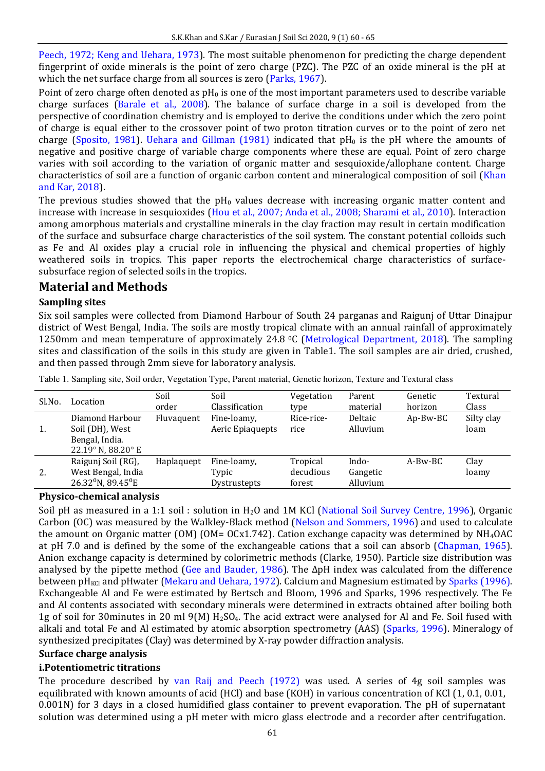Peech, 1972; Keng and Uehara, 1973). The most suitable phenomenon for predicting the charge dependent fingerprint of oxide minerals is the point of zero charge (PZC). The PZC of an oxide mineral is the pH at which the net surface charge from all sources is zero (Parks, 1967).

Point of zero charge often denoted as  $pH_0$  is one of the most important parameters used to describe variable charge surfaces (Barale et al., 2008). The balance of surface charge in a soil is developed from the perspective of coordination chemistry and is employed to derive the conditions under which the zero point of charge is equal either to the crossover point of two proton titration curves or to the point of zero net charge (Sposito, 1981). Uehara and Gillman (1981) indicated that  $pH_0$  is the pH where the amounts of negative and positive charge of variable charge components where these are equal. Point of zero charge varies with soil according to the variation of organic matter and sesquioxide/allophane content. Charge characteristics of soil are a function of organic carbon content and mineralogical composition of soil (Khan and Kar, 2018).

The previous studies showed that the  $pH_0$  values decrease with increasing organic matter content and increase with increase in sesquioxides (Hou et al., 2007; Anda et al., 2008; Sharami et al., 2010). Interaction among amorphous materials and crystalline minerals in the clay fraction may result in certain modification of the surface and subsurface charge characteristics of the soil system. The constant potential colloids such as Fe and Al oxides play a crucial role in influencing the physical and chemical properties of highly weathered soils in tropics. This paper reports the electrochemical charge characteristics of surfacesubsurface region of selected soils in the tropics.

# **Material and Methods**

## **Sampling sites**

Six soil samples were collected from Diamond Harbour of South 24 parganas and Raigunj of Uttar Dinajpur district of West Bengal, India. The soils are mostly tropical climate with an annual rainfall of approximately 1250mm and mean temperature of approximately 24.8 °C (Metrological Department, 2018). The sampling sites and classification of the soils in this study are given in Table1. The soil samples are air dried, crushed, and then passed through 2mm sieve for laboratory analysis.

| Sl.No. | Location                                                                          | Soil<br>order | Soil<br>Classification               | Vegetation<br>type              | Parent<br>material            | Genetic<br>horizon | Textural<br>Class  |
|--------|-----------------------------------------------------------------------------------|---------------|--------------------------------------|---------------------------------|-------------------------------|--------------------|--------------------|
| 1.     | Diamond Harbour<br>Soil (DH), West<br>Bengal, India.<br>22.19° N, 88.20° E        | Fluvaquent    | Fine-loamy,<br>Aeric Epiaquepts      | Rice-rice-<br>rice              | Deltaic<br>Alluvium           | $Ap-Bw-BC$         | Silty clay<br>loam |
| 2.     | Raigunj Soil (RG),<br>West Bengal, India<br>$26.32^{\circ}$ N, 89.45 $^{\circ}$ E | Haplaquept    | Fine-loamy,<br>Typic<br>Dystrustepts | Tropical<br>decudious<br>forest | Indo-<br>Gangetic<br>Alluvium | $A-Bw-BC$          | Clay<br>loamy      |

Table 1. Sampling site, Soil order, Vegetation Type, Parent material, Genetic horizon, Texture and Textural class

## **Physico-chemical analysis**

Soil pH as measured in a 1:1 soil : solution in H2O and 1M KCl (National Soil Survey Centre, 1996), Organic Carbon (OC) was measured by the Walkley-Black method (Nelson and Sommers, 1996) and used to calculate the amount on Organic matter (OM) (OM=  $OCx1.742$ ). Cation exchange capacity was determined by NH<sub>4</sub>OAC at pH 7.0 and is defined by the some of the exchangeable cations that a soil can absorb (Chapman, 1965). Anion exchange capacity is determined by colorimetric methods (Clarke, 1950). Particle size distribution was analysed by the pipette method (Gee and Bauder, 1986). The ΔpH index was calculated from the difference between pH<sub>KCl</sub> and pHwater (Mekaru and Uehara, 1972). Calcium and Magnesium estimated by Sparks (1996). Exchangeable Al and Fe were estimated by Bertsch and Bloom, 1996 and Sparks, 1996 respectively. The Fe and Al contents associated with secondary minerals were determined in extracts obtained after boiling both 1g of soil for 30minutes in 20 ml  $9(M)$  H<sub>2</sub>SO<sub>4</sub>. The acid extract were analysed for Al and Fe. Soil fused with alkali and total Fe and Al estimated by atomic absorption spectrometry (AAS) (Sparks, 1996). Mineralogy of synthesized precipitates (Clay) was determined by X-ray powder diffraction analysis.

#### **Surface charge analysis**

#### **i.Potentiometric titrations**

The procedure described by van Raij and Peech (1972) was used. A series of 4g soil samples was equilibrated with known amounts of acid (HCl) and base (KOH) in various concentration of KCl (1, 0.1, 0.01, 0.001N) for 3 days in a closed humidified glass container to prevent evaporation. The pH of supernatant solution was determined using a pH meter with micro glass electrode and a recorder after centrifugation.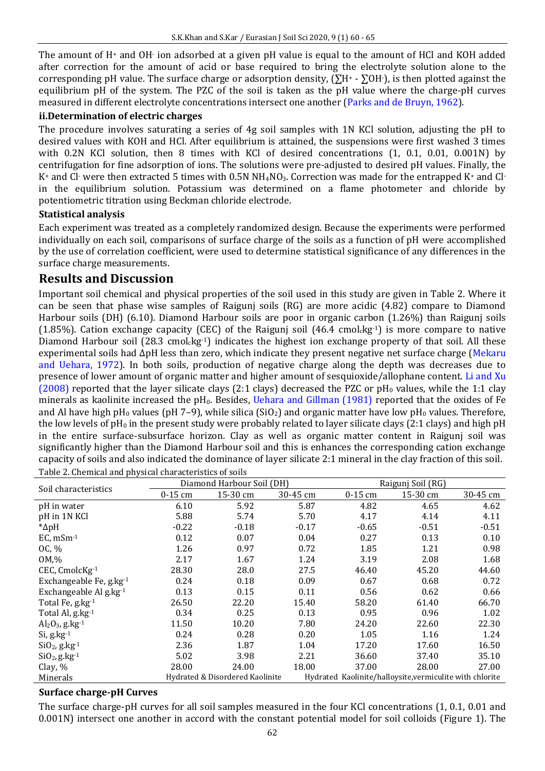The amount of H<sup>+</sup> and OH<sup>-</sup> ion adsorbed at a given pH value is equal to the amount of HCl and KOH added after correction for the amount of acid or base required to bring the electrolyte solution alone to the corresponding pH value. The surface charge or adsorption density,  $(\Sigma H^* - \Sigma OH^*)$ , is then plotted against the equilibrium pH of the system. The PZC of the soil is taken as the pH value where the charge-pH curves measured in different electrolyte concentrations intersect one another (Parks and de Bruyn, 1962).

#### **ii.Determination of electric charges**

The procedure involves saturating a series of 4g soil samples with 1N KCl solution, adjusting the pH to desired values with KOH and HCl. After equilibrium is attained, the suspensions were first washed 3 times with 0.2N KCl solution, then 8 times with KCl of desired concentrations (1, 0.1, 0.01, 0.001N) by centrifugation for fine adsorption of ions. The solutions were pre-adjusted to desired pH values. Finally, the K+ and Cl- were then extracted 5 times with 0.5N NH<sub>4</sub>NO<sub>3</sub>. Correction was made for the entrapped K+ and Clin the equilibrium solution. Potassium was determined on a flame photometer and chloride by potentiometric titration using Beckman chloride electrode.

#### **Statistical analysis**

Each experiment was treated as a completely randomized design. Because the experiments were performed individually on each soil, comparisons of surface charge of the soils as a function of pH were accomplished by the use of correlation coefficient, were used to determine statistical significance of any differences in the surface charge measurements.

# **Results and Discussion**

Important soil chemical and physical properties of the soil used in this study are given in Table 2. Where it can be seen that phase wise samples of Raigunj soils (RG) are more acidic (4.82) compare to Diamond Harbour soils (DH) (6.10). Diamond Harbour soils are poor in organic carbon (1.26%) than Raigunj soils (1.85%). Cation exchange capacity (CEC) of the Raigunj soil (46.4 cmol $_{\rm c}$ kg<sup>-1</sup>) is more compare to native Diamond Harbour soil (28.3 cmol<sub>c</sub>kg<sup>-1</sup>) indicates the highest ion exchange property of that soil. All these experimental soils had ΔpH less than zero, which indicate they present negative net surface charge (Mekaru and Uehara, 1972). In both soils, production of negative charge along the depth was decreases due to presence of lower amount of organic matter and higher amount of sesquioxide/allophane content. Li and Xu (2008) reported that the layer silicate clays (2:1 clays) decreased the PZC or  $pH_0$  values, while the 1:1 clay minerals as kaolinite increased the  $pH_0$ . Besides, Uehara and Gillman (1981) reported that the oxides of Fe and Al have high pH<sub>0</sub> values (pH 7–9), while silica (SiO<sub>2</sub>) and organic matter have low pH<sub>0</sub> values. Therefore, the low levels of pH<sub>0</sub> in the present study were probably related to layer silicate clays (2:1 clays) and high pH in the entire surface-subsurface horizon. Clay as well as organic matter content in Raigunj soil was significantly higher than the Diamond Harbour soil and this is enhances the corresponding cation exchange capacity of soils and also indicated the dominance of layer silicate 2:1 mineral in the clay fraction of this soil. Table 2. Chemical and physical characteristics of soils

| Soil characteristics           |                                 | Diamond Harbour Soil (DH) |          | Raigunj Soil (RG)                                        |          |          |  |  |
|--------------------------------|---------------------------------|---------------------------|----------|----------------------------------------------------------|----------|----------|--|--|
|                                | $0-15$ cm                       | 15-30 cm                  | 30-45 cm | $0-15$ cm                                                | 15-30 cm | 30-45 cm |  |  |
| pH in water                    | 6.10                            | 5.92                      | 5.87     | 4.82                                                     | 4.65     | 4.62     |  |  |
| pH in 1N KCl                   | 5.88                            | 5.74                      | 5.70     | 4.17                                                     | 4.14     | 4.11     |  |  |
| $*\Delta pH$                   | $-0.22$                         | $-0.18$                   | $-0.17$  | $-0.65$                                                  | $-0.51$  | $-0.51$  |  |  |
| $EC, mSm-1$                    | 0.12                            | 0.07                      | 0.04     | 0.27                                                     | 0.13     | 0.10     |  |  |
| OC, %                          | 1.26                            | 0.97                      | 0.72     | 1.85                                                     | 1.21     | 0.98     |  |  |
| 0M,%                           | 2.17                            | 1.67                      | 1.24     | 3.19                                                     | 2.08     | 1.68     |  |  |
| CEC, CmolcKg-1                 | 28.30                           | 28.0                      | 27.5     | 46.40                                                    | 45.20    | 44.60    |  |  |
| Exchangeable Fe, g.kg-1        | 0.24                            | 0.18                      | 0.09     | 0.67                                                     | 0.68     | 0.72     |  |  |
| Exchangeable Al g.kg-1         | 0.13                            | 0.15                      | 0.11     | 0.56                                                     | 0.62     | 0.66     |  |  |
| Total Fe, g.kg-1               | 26.50                           | 22.20                     | 15.40    | 58.20                                                    | 61.40    | 66.70    |  |  |
| Total Al, g.kg-1               | 0.34                            | 0.25                      | 0.13     | 0.95                                                     | 0.96     | 1.02     |  |  |
| $Al_2O_3$ , g.kg <sup>-1</sup> | 11.50                           | 10.20                     | 7.80     | 24.20                                                    | 22.60    | 22.30    |  |  |
| $Si$ , g.kg $^{-1}$            | 0.24                            | 0.28                      | 0.20     | 1.05                                                     | 1.16     | 1.24     |  |  |
| $SiO2$ , g.kg <sup>-1</sup>    | 2.36                            | 1.87                      | 1.04     | 17.20                                                    | 17.60    | 16.50    |  |  |
| $SiO2$ , g.kg <sup>-1</sup>    | 5.02                            | 3.98                      | 2.21     | 36.60                                                    | 37.40    | 35.10    |  |  |
| Clay, %                        | 28.00                           | 24.00                     | 18.00    | 37.00                                                    | 28.00    | 27.00    |  |  |
| Minerals                       | Hydrated & Disordered Kaolinite |                           |          | Hydrated Kaolinite/halloysite, vermiculite with chlorite |          |          |  |  |

## **Surface charge-pH Curves**

The surface charge-pH curves for all soil samples measured in the four KCl concentrations (1, 0.1, 0.01 and 0.001N) intersect one another in accord with the constant potential model for soil colloids (Figure 1). The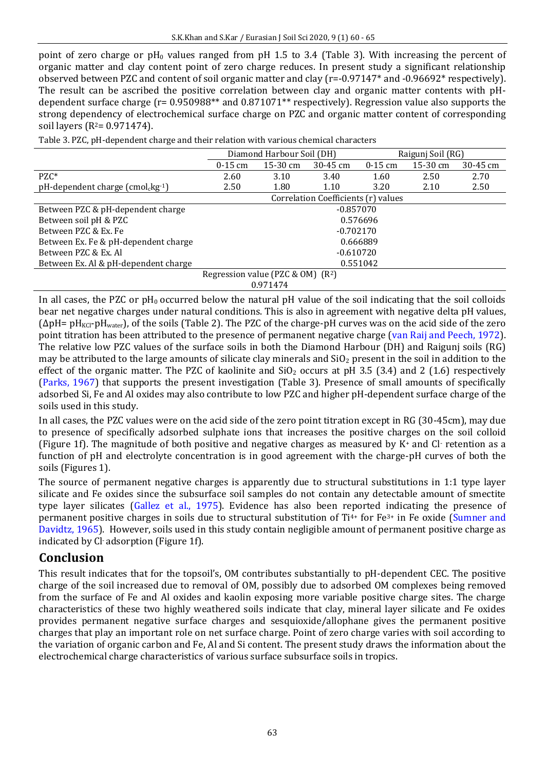point of zero charge or  $pH_0$  values ranged from  $pH$  1.5 to 3.4 (Table 3). With increasing the percent of organic matter and clay content point of zero charge reduces. In present study a significant relationship observed between PZC and content of soil organic matter and clay (r=-0.97147\* and -0.96692\* respectively). The result can be ascribed the positive correlation between clay and organic matter contents with pHdependent surface charge (r= 0.950988\*\* and 0.871071\*\* respectively). Regression value also supports the strong dependency of electrochemical surface charge on PZC and organic matter content of corresponding soil layers ( $R^2$ = 0.971474).

| Table 3. PZC, pH-dependent charge and their relation with various chemical characters |  |  |
|---------------------------------------------------------------------------------------|--|--|

|                                              | Diamond Harbour Soil (DH)           |            |              | Raigunj Soil (RG) |            |          |  |
|----------------------------------------------|-------------------------------------|------------|--------------|-------------------|------------|----------|--|
|                                              | $0-15$ cm                           | $15-30$ cm | $30 - 45$ cm | $0-15$ cm         | $15-30$ cm | 30-45 cm |  |
| $P Z C^*$                                    | 2.60                                | 3.10       | 3.40         | 1.60              | 2.50       | 2.70     |  |
| pH-dependent charge (cmol <sub>c</sub> kg-1) | 2.50                                | 1.80       | 1.10         | 3.20              | 2.10       | 2.50     |  |
|                                              | Correlation Coefficients (r) values |            |              |                   |            |          |  |
| Between PZC & pH-dependent charge            | $-0.857070$                         |            |              |                   |            |          |  |
| Between soil pH & PZC                        | 0.576696                            |            |              |                   |            |          |  |
| Between PZC & Ex. Fe                         | $-0.702170$                         |            |              |                   |            |          |  |
| Between Ex. Fe & pH-dependent charge         | 0.666889                            |            |              |                   |            |          |  |
| Between PZC & Ex. Al                         | -0.610720                           |            |              |                   |            |          |  |
| Between Ex. Al & pH-dependent charge         | 0.551042                            |            |              |                   |            |          |  |
|                                              | Regression value (PZC & OM) $(R^2)$ |            |              |                   |            |          |  |

0.971474

In all cases, the PZC or  $pH_0$  occurred below the natural pH value of the soil indicating that the soil colloids bear net negative charges under natural conditions. This is also in agreement with negative delta pH values,  $(\Delta pH = pH_{KCl}-pH_{water})$ , of the soils (Table 2). The PZC of the charge-pH curves was on the acid side of the zero point titration has been attributed to the presence of permanent negative charge (van Raij and Peech, 1972). The relative low PZC values of the surface soils in both the Diamond Harbour (DH) and Raigunj soils (RG) may be attributed to the large amounts of silicate clay minerals and  $SiO<sub>2</sub>$  present in the soil in addition to the effect of the organic matter. The PZC of kaolinite and  $SiO<sub>2</sub>$  occurs at pH 3.5 (3.4) and 2 (1.6) respectively (Parks, 1967) that supports the present investigation (Table 3). Presence of small amounts of specifically adsorbed Si, Fe and Al oxides may also contribute to low PZC and higher pH-dependent surface charge of the soils used in this study.

In all cases, the PZC values were on the acid side of the zero point titration except in RG (30-45cm), may due to presence of specifically adsorbed sulphate ions that increases the positive charges on the soil colloid (Figure 1f). The magnitude of both positive and negative charges as measured by K+ and Cl- retention as a function of pH and electrolyte concentration is in good agreement with the charge-pH curves of both the soils (Figures 1).

The source of permanent negative charges is apparently due to structural substitutions in 1:1 type layer silicate and Fe oxides since the subsurface soil samples do not contain any detectable amount of smectite type layer silicates (Gallez et al., 1975). Evidence has also been reported indicating the presence of permanent positive charges in soils due to structural substitution of Ti4+ for Fe3+ in Fe oxide (Sumner and Davidtz, 1965). However, soils used in this study contain negligible amount of permanent positive charge as indicated by Cl- adsorption (Figure 1f).

# **Conclusion**

This result indicates that for the topsoil's, OM contributes substantially to pH-dependent CEC. The positive charge of the soil increased due to removal of OM, possibly due to adsorbed OM complexes being removed from the surface of Fe and Al oxides and kaolin exposing more variable positive charge sites. The charge characteristics of these two highly weathered soils indicate that clay, mineral layer silicate and Fe oxides provides permanent negative surface charges and sesquioxide/allophane gives the permanent positive charges that play an important role on net surface charge. Point of zero charge varies with soil according to the variation of organic carbon and Fe, Al and Si content. The present study draws the information about the electrochemical charge characteristics of various surface subsurface soils in tropics.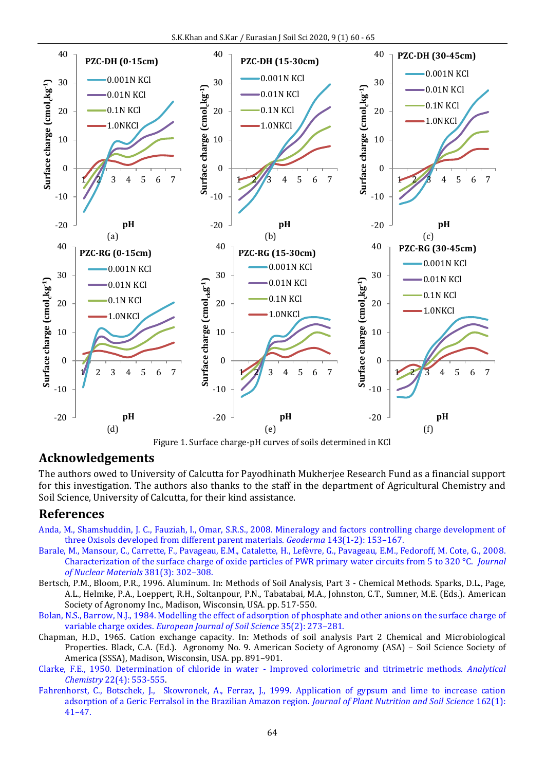



## **Acknowledgements**

The authors owed to University of Calcutta for Payodhinath Mukherjee Research Fund as a financial support for this investigation. The authors also thanks to the staff in the department of Agricultural Chemistry and Soil Science, University of Calcutta, for their kind assistance.

#### **References**

- [Anda, M., Shamshuddin, J. C., Fauziah, I., Omar, S.R.S., 2008. Mineralogy and factors controlling charge development of](https://doi.org/10.1016/j.geoderma.2007.10.024)  [three Oxisols developed from different parent materials.](https://doi.org/10.1016/j.geoderma.2007.10.024) *Geoderma* 143(1-2): 153–167.
- [Barale, M., Mansour, C., Carrette, F., Pavageau, E.M., Catalette, H., Lefèvre, G., Pavageau, E.M., Fedoroff, M. Cote, G., 200](https://doi.org/10.1016/j.jnucmat.2008.09.003)8. [Characterization of the surface charge of oxide particles of PWR primary water circuits from 5 to 320 °C.](https://doi.org/10.1016/j.jnucmat.2008.09.003) *Journal [of Nuclear Materials](https://doi.org/10.1016/j.jnucmat.2008.09.003)* 381(3): 302–308.
- Bertsch, P.M., Bloom, P.R., 1996. Aluminum. In: Methods of Soil Analysis, Part 3 Chemical Methods. Sparks, D.L., Page, A.L., Helmke, P.A., Loeppert, R.H., Soltanpour, P.N., Tabatabai, M.A., Johnston, C.T., Sumner, M.E. (Eds.). American Society of Agronomy Inc., Madison, Wisconsin, USA. pp. 517-550.
- [Bolan, N.S., Barrow, N.J., 1984. Modelling the effect of adsorption of phosphate and other anions on the surface charge of](http://doi.org/10.1111/j.1365-2389.1984.tb00282.x)  variable charge oxides. *[European Journal of Soil Science](http://doi.org/10.1111/j.1365-2389.1984.tb00282.x)* 35(2): 273–281.
- Chapman, H.D., 1965. Cation exchange capacity. In: Methods of soil analysis Part 2 Chemical and Microbiological Properties. Black, C.A. (Ed.). Agronomy No. 9. American Society of Agronomy (ASA) – Soil Science Society of America (SSSA), Madison, Wisconsin, USA. pp. 891–901.
- [Clarke, F.E., 1950. Determination of chloride in water Improved colorimetric and titrimetric methods.](https://doi.org/10.1021/ac60040a011) *Analytical Chemistry* [22\(4\): 553-555.](https://doi.org/10.1021/ac60040a011)
- [Fahrenhorst, C., Botschek, J., Skowronek, A., Ferraz, J., 1999. Application of gypsum and lime to increase cation](https://doi.org/10.1002/(SICI)1522-2624(199901)162:1%3C41::AID-JPLN41%3E3.0.CO;2-6)  [adsorption of a Geric Ferralsol in the Brazilian Amazon region.](https://doi.org/10.1002/(SICI)1522-2624(199901)162:1%3C41::AID-JPLN41%3E3.0.CO;2-6) *Journal of Plant Nutrition and Soil Science* 162(1): 41–[47.](https://doi.org/10.1002/(SICI)1522-2624(199901)162:1%3C41::AID-JPLN41%3E3.0.CO;2-6)